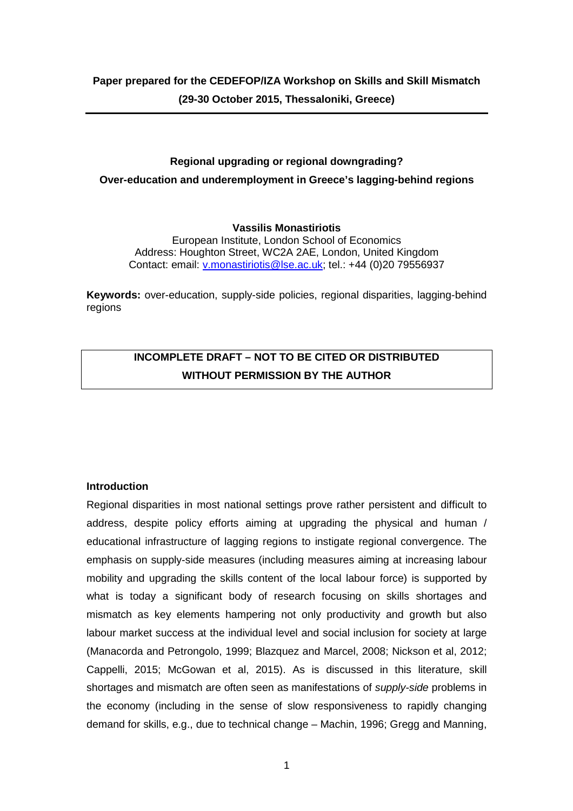# **Regional upgrading or regional downgrading? Over-education and underemployment in Greece's lagging-behind regions**

## **Vassilis Monastiriotis**

European Institute, London School of Economics Address: Houghton Street, WC2A 2AE, London, United Kingdom Contact: email: v.monastiriotis@lse.ac.uk; tel.: +44 (0)20 79556937

**Keywords:** over-education, supply-side policies, regional disparities, lagging-behind regions

# **INCOMPLETE DRAFT – NOT TO BE CITED OR DISTRIBUTED WITHOUT PERMISSION BY THE AUTHOR**

## **Introduction**

Regional disparities in most national settings prove rather persistent and difficult to address, despite policy efforts aiming at upgrading the physical and human / educational infrastructure of lagging regions to instigate regional convergence. The emphasis on supply-side measures (including measures aiming at increasing labour mobility and upgrading the skills content of the local labour force) is supported by what is today a significant body of research focusing on skills shortages and mismatch as key elements hampering not only productivity and growth but also labour market success at the individual level and social inclusion for society at large (Manacorda and Petrongolo, 1999; Blazquez and Marcel, 2008; Nickson et al, 2012; Cappelli, 2015; McGowan et al, 2015). As is discussed in this literature, skill shortages and mismatch are often seen as manifestations of *supply-side* problems in the economy (including in the sense of slow responsiveness to rapidly changing demand for skills, e.g., due to technical change – Machin, 1996; Gregg and Manning,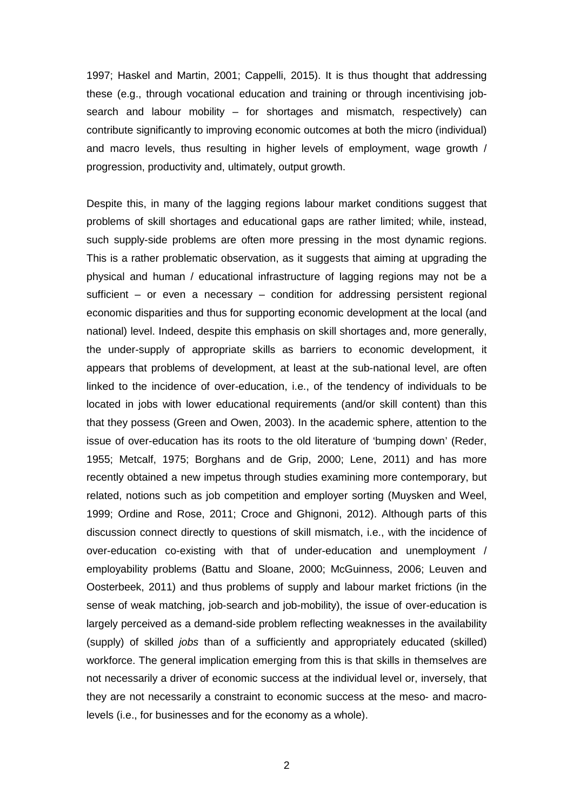1997; Haskel and Martin, 2001; Cappelli, 2015). It is thus thought that addressing these (e.g., through vocational education and training or through incentivising jobsearch and labour mobility – for shortages and mismatch, respectively) can contribute significantly to improving economic outcomes at both the micro (individual) and macro levels, thus resulting in higher levels of employment, wage growth / progression, productivity and, ultimately, output growth.

Despite this, in many of the lagging regions labour market conditions suggest that problems of skill shortages and educational gaps are rather limited; while, instead, such supply-side problems are often more pressing in the most dynamic regions. This is a rather problematic observation, as it suggests that aiming at upgrading the physical and human / educational infrastructure of lagging regions may not be a sufficient – or even a necessary – condition for addressing persistent regional economic disparities and thus for supporting economic development at the local (and national) level. Indeed, despite this emphasis on skill shortages and, more generally, the under-supply of appropriate skills as barriers to economic development, it appears that problems of development, at least at the sub-national level, are often linked to the incidence of over-education, i.e., of the tendency of individuals to be located in jobs with lower educational requirements (and/or skill content) than this that they possess (Green and Owen, 2003). In the academic sphere, attention to the issue of over-education has its roots to the old literature of 'bumping down' (Reder, 1955; Metcalf, 1975; Borghans and de Grip, 2000; Lene, 2011) and has more recently obtained a new impetus through studies examining more contemporary, but related, notions such as job competition and employer sorting (Muysken and Weel, 1999; Ordine and Rose, 2011; Croce and Ghignoni, 2012). Although parts of this discussion connect directly to questions of skill mismatch, i.e., with the incidence of over-education co-existing with that of under-education and unemployment / employability problems (Battu and Sloane, 2000; McGuinness, 2006; Leuven and Oosterbeek, 2011) and thus problems of supply and labour market frictions (in the sense of weak matching, job-search and job-mobility), the issue of over-education is largely perceived as a demand-side problem reflecting weaknesses in the availability (supply) of skilled jobs than of a sufficiently and appropriately educated (skilled) workforce. The general implication emerging from this is that skills in themselves are not necessarily a driver of economic success at the individual level or, inversely, that they are not necessarily a constraint to economic success at the meso- and macrolevels (i.e., for businesses and for the economy as a whole).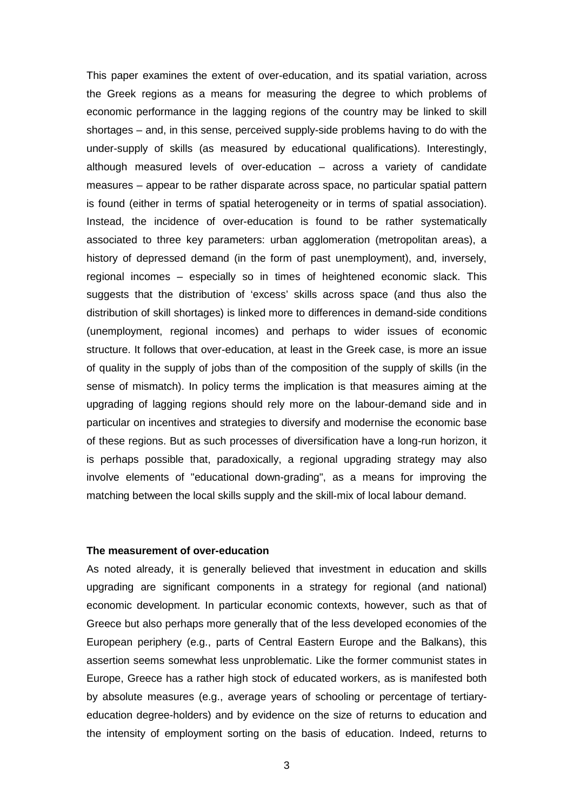This paper examines the extent of over-education, and its spatial variation, across the Greek regions as a means for measuring the degree to which problems of economic performance in the lagging regions of the country may be linked to skill shortages – and, in this sense, perceived supply-side problems having to do with the under-supply of skills (as measured by educational qualifications). Interestingly, although measured levels of over-education – across a variety of candidate measures – appear to be rather disparate across space, no particular spatial pattern is found (either in terms of spatial heterogeneity or in terms of spatial association). Instead, the incidence of over-education is found to be rather systematically associated to three key parameters: urban agglomeration (metropolitan areas), a history of depressed demand (in the form of past unemployment), and, inversely, regional incomes – especially so in times of heightened economic slack. This suggests that the distribution of 'excess' skills across space (and thus also the distribution of skill shortages) is linked more to differences in demand-side conditions (unemployment, regional incomes) and perhaps to wider issues of economic structure. It follows that over-education, at least in the Greek case, is more an issue of quality in the supply of jobs than of the composition of the supply of skills (in the sense of mismatch). In policy terms the implication is that measures aiming at the upgrading of lagging regions should rely more on the labour-demand side and in particular on incentives and strategies to diversify and modernise the economic base of these regions. But as such processes of diversification have a long-run horizon, it is perhaps possible that, paradoxically, a regional upgrading strategy may also involve elements of "educational down-grading", as a means for improving the matching between the local skills supply and the skill-mix of local labour demand.

### **The measurement of over-education**

As noted already, it is generally believed that investment in education and skills upgrading are significant components in a strategy for regional (and national) economic development. In particular economic contexts, however, such as that of Greece but also perhaps more generally that of the less developed economies of the European periphery (e.g., parts of Central Eastern Europe and the Balkans), this assertion seems somewhat less unproblematic. Like the former communist states in Europe, Greece has a rather high stock of educated workers, as is manifested both by absolute measures (e.g., average years of schooling or percentage of tertiaryeducation degree-holders) and by evidence on the size of returns to education and the intensity of employment sorting on the basis of education. Indeed, returns to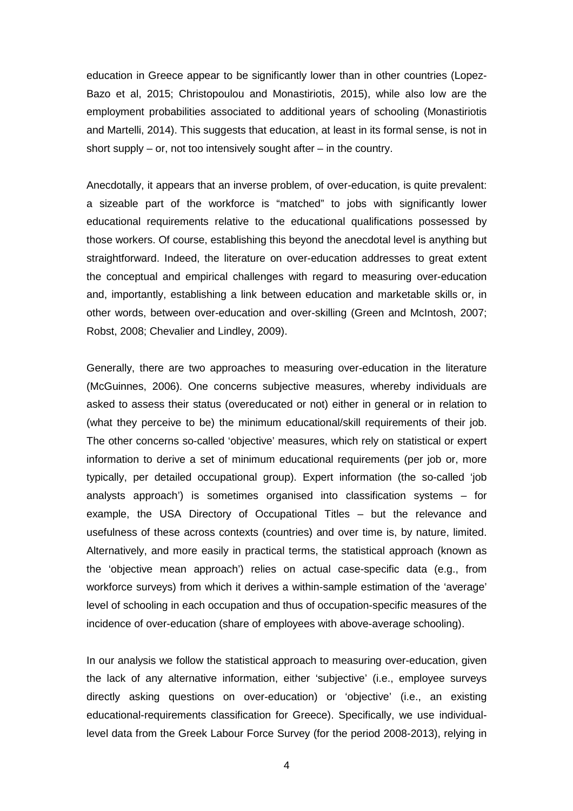education in Greece appear to be significantly lower than in other countries (Lopez-Bazo et al, 2015; Christopoulou and Monastiriotis, 2015), while also low are the employment probabilities associated to additional years of schooling (Monastiriotis and Martelli, 2014). This suggests that education, at least in its formal sense, is not in short supply – or, not too intensively sought after – in the country.

Anecdotally, it appears that an inverse problem, of over-education, is quite prevalent: a sizeable part of the workforce is "matched" to jobs with significantly lower educational requirements relative to the educational qualifications possessed by those workers. Of course, establishing this beyond the anecdotal level is anything but straightforward. Indeed, the literature on over-education addresses to great extent the conceptual and empirical challenges with regard to measuring over-education and, importantly, establishing a link between education and marketable skills or, in other words, between over-education and over-skilling (Green and McIntosh, 2007; Robst, 2008; Chevalier and Lindley, 2009).

Generally, there are two approaches to measuring over-education in the literature (McGuinnes, 2006). One concerns subjective measures, whereby individuals are asked to assess their status (overeducated or not) either in general or in relation to (what they perceive to be) the minimum educational/skill requirements of their job. The other concerns so-called 'objective' measures, which rely on statistical or expert information to derive a set of minimum educational requirements (per job or, more typically, per detailed occupational group). Expert information (the so-called 'job analysts approach') is sometimes organised into classification systems – for example, the USA Directory of Occupational Titles – but the relevance and usefulness of these across contexts (countries) and over time is, by nature, limited. Alternatively, and more easily in practical terms, the statistical approach (known as the 'objective mean approach') relies on actual case-specific data (e.g., from workforce surveys) from which it derives a within-sample estimation of the 'average' level of schooling in each occupation and thus of occupation-specific measures of the incidence of over-education (share of employees with above-average schooling).

In our analysis we follow the statistical approach to measuring over-education, given the lack of any alternative information, either 'subjective' (i.e., employee surveys directly asking questions on over-education) or 'objective' (i.e., an existing educational-requirements classification for Greece). Specifically, we use individuallevel data from the Greek Labour Force Survey (for the period 2008-2013), relying in

4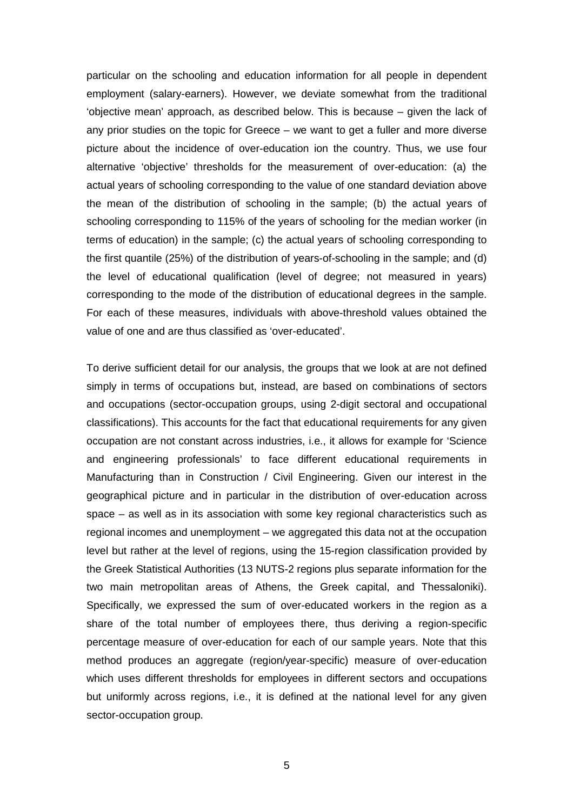particular on the schooling and education information for all people in dependent employment (salary-earners). However, we deviate somewhat from the traditional 'objective mean' approach, as described below. This is because – given the lack of any prior studies on the topic for Greece – we want to get a fuller and more diverse picture about the incidence of over-education ion the country. Thus, we use four alternative 'objective' thresholds for the measurement of over-education: (a) the actual years of schooling corresponding to the value of one standard deviation above the mean of the distribution of schooling in the sample; (b) the actual years of schooling corresponding to 115% of the years of schooling for the median worker (in terms of education) in the sample; (c) the actual years of schooling corresponding to the first quantile (25%) of the distribution of years-of-schooling in the sample; and (d) the level of educational qualification (level of degree; not measured in years) corresponding to the mode of the distribution of educational degrees in the sample. For each of these measures, individuals with above-threshold values obtained the value of one and are thus classified as 'over-educated'.

To derive sufficient detail for our analysis, the groups that we look at are not defined simply in terms of occupations but, instead, are based on combinations of sectors and occupations (sector-occupation groups, using 2-digit sectoral and occupational classifications). This accounts for the fact that educational requirements for any given occupation are not constant across industries, i.e., it allows for example for 'Science and engineering professionals' to face different educational requirements in Manufacturing than in Construction / Civil Engineering. Given our interest in the geographical picture and in particular in the distribution of over-education across space – as well as in its association with some key regional characteristics such as regional incomes and unemployment – we aggregated this data not at the occupation level but rather at the level of regions, using the 15-region classification provided by the Greek Statistical Authorities (13 NUTS-2 regions plus separate information for the two main metropolitan areas of Athens, the Greek capital, and Thessaloniki). Specifically, we expressed the sum of over-educated workers in the region as a share of the total number of employees there, thus deriving a region-specific percentage measure of over-education for each of our sample years. Note that this method produces an aggregate (region/year-specific) measure of over-education which uses different thresholds for employees in different sectors and occupations but uniformly across regions, i.e., it is defined at the national level for any given sector-occupation group.

5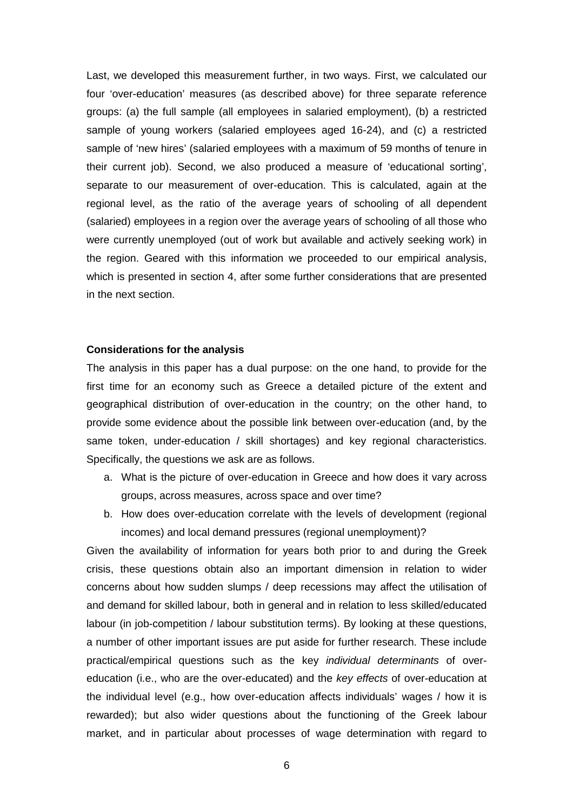Last, we developed this measurement further, in two ways. First, we calculated our four 'over-education' measures (as described above) for three separate reference groups: (a) the full sample (all employees in salaried employment), (b) a restricted sample of young workers (salaried employees aged 16-24), and (c) a restricted sample of 'new hires' (salaried employees with a maximum of 59 months of tenure in their current job). Second, we also produced a measure of 'educational sorting', separate to our measurement of over-education. This is calculated, again at the regional level, as the ratio of the average years of schooling of all dependent (salaried) employees in a region over the average years of schooling of all those who were currently unemployed (out of work but available and actively seeking work) in the region. Geared with this information we proceeded to our empirical analysis, which is presented in section 4, after some further considerations that are presented in the next section.

#### **Considerations for the analysis**

The analysis in this paper has a dual purpose: on the one hand, to provide for the first time for an economy such as Greece a detailed picture of the extent and geographical distribution of over-education in the country; on the other hand, to provide some evidence about the possible link between over-education (and, by the same token, under-education / skill shortages) and key regional characteristics. Specifically, the questions we ask are as follows.

- a. What is the picture of over-education in Greece and how does it vary across groups, across measures, across space and over time?
- b. How does over-education correlate with the levels of development (regional incomes) and local demand pressures (regional unemployment)?

Given the availability of information for years both prior to and during the Greek crisis, these questions obtain also an important dimension in relation to wider concerns about how sudden slumps / deep recessions may affect the utilisation of and demand for skilled labour, both in general and in relation to less skilled/educated labour (in job-competition / labour substitution terms). By looking at these questions, a number of other important issues are put aside for further research. These include practical/empirical questions such as the key individual determinants of overeducation (i.e., who are the over-educated) and the key effects of over-education at the individual level (e.g., how over-education affects individuals' wages / how it is rewarded); but also wider questions about the functioning of the Greek labour market, and in particular about processes of wage determination with regard to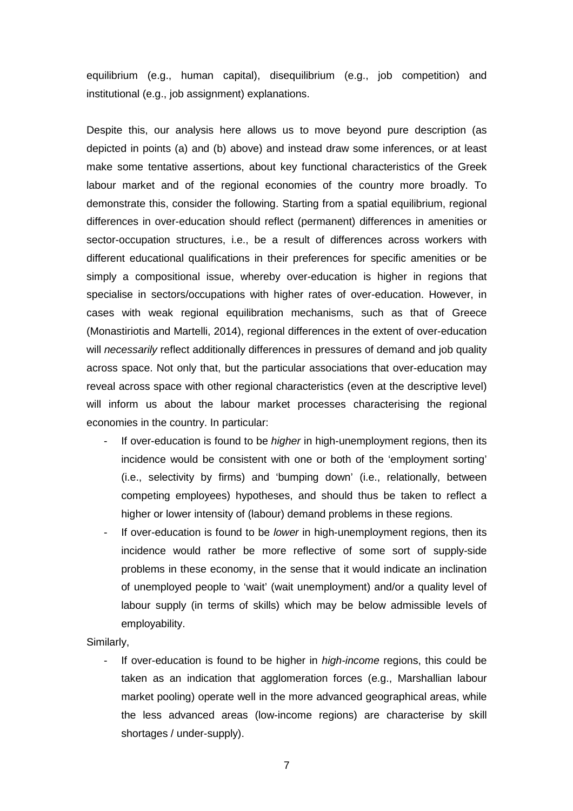equilibrium (e.g., human capital), disequilibrium (e.g., job competition) and institutional (e.g., job assignment) explanations.

Despite this, our analysis here allows us to move beyond pure description (as depicted in points (a) and (b) above) and instead draw some inferences, or at least make some tentative assertions, about key functional characteristics of the Greek labour market and of the regional economies of the country more broadly. To demonstrate this, consider the following. Starting from a spatial equilibrium, regional differences in over-education should reflect (permanent) differences in amenities or sector-occupation structures, i.e., be a result of differences across workers with different educational qualifications in their preferences for specific amenities or be simply a compositional issue, whereby over-education is higher in regions that specialise in sectors/occupations with higher rates of over-education. However, in cases with weak regional equilibration mechanisms, such as that of Greece (Monastiriotis and Martelli, 2014), regional differences in the extent of over-education will necessarily reflect additionally differences in pressures of demand and job quality across space. Not only that, but the particular associations that over-education may reveal across space with other regional characteristics (even at the descriptive level) will inform us about the labour market processes characterising the regional economies in the country. In particular:

- If over-education is found to be *higher* in high-unemployment regions, then its incidence would be consistent with one or both of the 'employment sorting' (i.e., selectivity by firms) and 'bumping down' (i.e., relationally, between competing employees) hypotheses, and should thus be taken to reflect a higher or lower intensity of (labour) demand problems in these regions.
- If over-education is found to be *lower* in high-unemployment regions, then its incidence would rather be more reflective of some sort of supply-side problems in these economy, in the sense that it would indicate an inclination of unemployed people to 'wait' (wait unemployment) and/or a quality level of labour supply (in terms of skills) which may be below admissible levels of employability.

Similarly,

If over-education is found to be higher in *high-income* regions, this could be taken as an indication that agglomeration forces (e.g., Marshallian labour market pooling) operate well in the more advanced geographical areas, while the less advanced areas (low-income regions) are characterise by skill shortages / under-supply).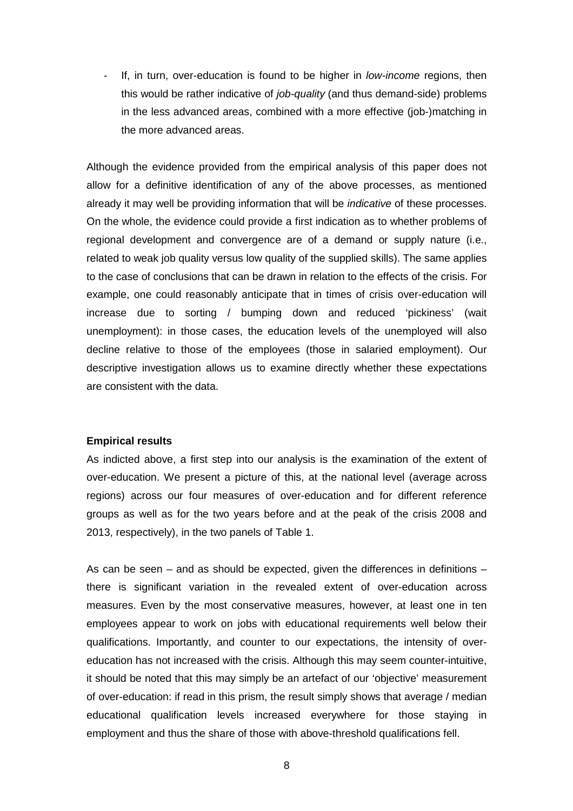If, in turn, over-education is found to be higher in *low-income* regions, then this would be rather indicative of job-quality (and thus demand-side) problems in the less advanced areas, combined with a more effective (job-)matching in the more advanced areas.

Although the evidence provided from the empirical analysis of this paper does not allow for a definitive identification of any of the above processes, as mentioned already it may well be providing information that will be indicative of these processes. On the whole, the evidence could provide a first indication as to whether problems of regional development and convergence are of a demand or supply nature (i.e., related to weak job quality versus low quality of the supplied skills). The same applies to the case of conclusions that can be drawn in relation to the effects of the crisis. For example, one could reasonably anticipate that in times of crisis over-education will increase due to sorting / bumping down and reduced 'pickiness' (wait unemployment): in those cases, the education levels of the unemployed will also decline relative to those of the employees (those in salaried employment). Our descriptive investigation allows us to examine directly whether these expectations are consistent with the data.

## **Empirical results**

As indicted above, a first step into our analysis is the examination of the extent of over-education. We present a picture of this, at the national level (average across regions) across our four measures of over-education and for different reference groups as well as for the two years before and at the peak of the crisis 2008 and 2013, respectively), in the two panels of Table 1.

As can be seen – and as should be expected, given the differences in definitions – there is significant variation in the revealed extent of over-education across measures. Even by the most conservative measures, however, at least one in ten employees appear to work on jobs with educational requirements well below their qualifications. Importantly, and counter to our expectations, the intensity of overeducation has not increased with the crisis. Although this may seem counter-intuitive, it should be noted that this may simply be an artefact of our 'objective' measurement of over-education: if read in this prism, the result simply shows that average / median educational qualification levels increased everywhere for those staying in employment and thus the share of those with above-threshold qualifications fell.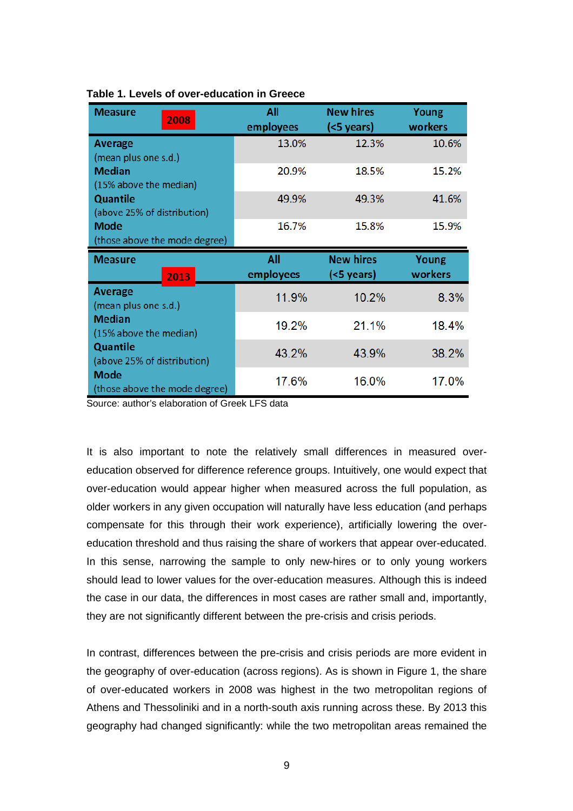| <b>Measure</b><br>2008                     | All<br>employees | <b>New hires</b><br>(<5 years) | Young<br>workers |
|--------------------------------------------|------------------|--------------------------------|------------------|
| <b>Average</b>                             | 13.0%            | 12.3%                          | 10.6%            |
| (mean plus one s.d.)                       |                  |                                |                  |
| <b>Median</b>                              | 20.9%            | 18.5%                          | 15.2%            |
| (15% above the median)                     |                  |                                |                  |
| <b>Quantile</b>                            | 49.9%            | 49.3%                          | 41.6%            |
| (above 25% of distribution)                |                  |                                |                  |
| <b>Mode</b>                                | 16.7%            | 15.8%                          | 15.9%            |
| (those above the mode degree)              |                  |                                |                  |
|                                            |                  |                                |                  |
| <b>Measure</b>                             | All              | <b>New hires</b>               | Young            |
| 2013                                       | employees        | (<5 years)                     | workers          |
| <b>Average</b>                             |                  |                                |                  |
| (mean plus one s.d.)                       | 11.9%            | 10.2%                          | 8.3%             |
| <b>Median</b>                              |                  |                                |                  |
| (15% above the median)                     | 19.2%            | 21.1%                          | 18.4%            |
| <b>Quantile</b>                            |                  |                                |                  |
| (above 25% of distribution)<br><b>Mode</b> | 43.2%            | 43.9%                          | 38.2%            |

## **Table 1. Levels of over-education in Greece**

Source: author's elaboration of Greek LFS data

It is also important to note the relatively small differences in measured overeducation observed for difference reference groups. Intuitively, one would expect that over-education would appear higher when measured across the full population, as older workers in any given occupation will naturally have less education (and perhaps compensate for this through their work experience), artificially lowering the overeducation threshold and thus raising the share of workers that appear over-educated. In this sense, narrowing the sample to only new-hires or to only young workers should lead to lower values for the over-education measures. Although this is indeed the case in our data, the differences in most cases are rather small and, importantly, they are not significantly different between the pre-crisis and crisis periods.

In contrast, differences between the pre-crisis and crisis periods are more evident in the geography of over-education (across regions). As is shown in Figure 1, the share of over-educated workers in 2008 was highest in the two metropolitan regions of Athens and Thessoliniki and in a north-south axis running across these. By 2013 this geography had changed significantly: while the two metropolitan areas remained the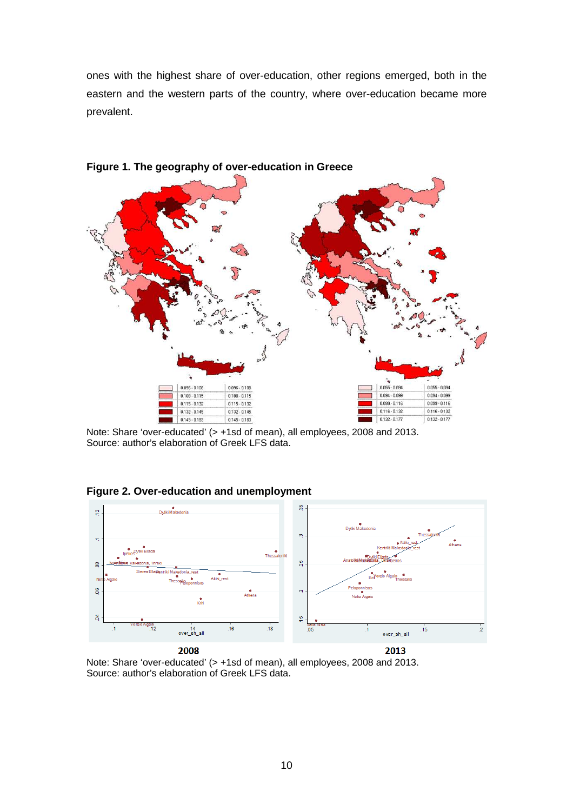ones with the highest share of over-education, other regions emerged, both in the eastern and the western parts of the country, where over-education became more prevalent.



**Figure 1. The geography of over-education in Greece**

Note: Share 'over-educated' (> +1sd of mean), all employees, 2008 and 2013. Source: author's elaboration of Greek LFS data.

**Figure 2. Over-education and unemployment** 



Note: Share 'over-educated' (> +1sd of mean), all employees, 2008 and 2013. Source: author's elaboration of Greek LFS data.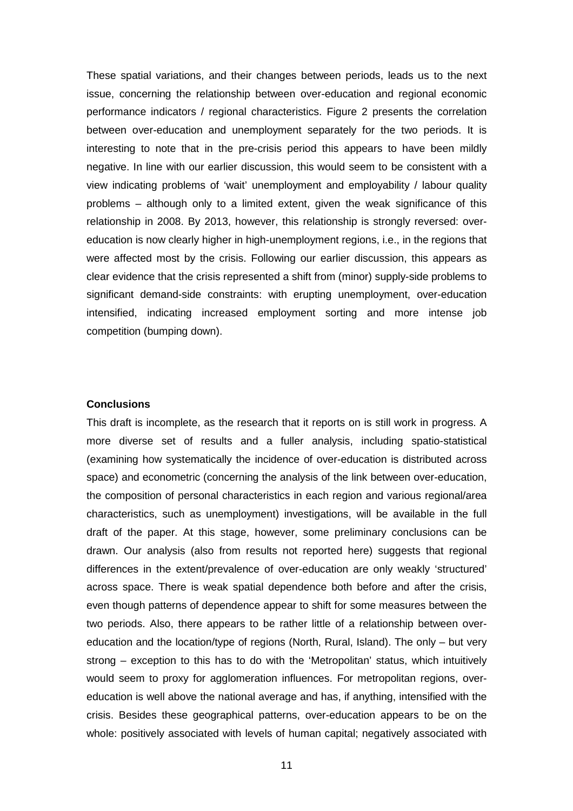These spatial variations, and their changes between periods, leads us to the next issue, concerning the relationship between over-education and regional economic performance indicators / regional characteristics. Figure 2 presents the correlation between over-education and unemployment separately for the two periods. It is interesting to note that in the pre-crisis period this appears to have been mildly negative. In line with our earlier discussion, this would seem to be consistent with a view indicating problems of 'wait' unemployment and employability / labour quality problems – although only to a limited extent, given the weak significance of this relationship in 2008. By 2013, however, this relationship is strongly reversed: overeducation is now clearly higher in high-unemployment regions, i.e., in the regions that were affected most by the crisis. Following our earlier discussion, this appears as clear evidence that the crisis represented a shift from (minor) supply-side problems to significant demand-side constraints: with erupting unemployment, over-education intensified, indicating increased employment sorting and more intense job competition (bumping down).

#### **Conclusions**

This draft is incomplete, as the research that it reports on is still work in progress. A more diverse set of results and a fuller analysis, including spatio-statistical (examining how systematically the incidence of over-education is distributed across space) and econometric (concerning the analysis of the link between over-education, the composition of personal characteristics in each region and various regional/area characteristics, such as unemployment) investigations, will be available in the full draft of the paper. At this stage, however, some preliminary conclusions can be drawn. Our analysis (also from results not reported here) suggests that regional differences in the extent/prevalence of over-education are only weakly 'structured' across space. There is weak spatial dependence both before and after the crisis, even though patterns of dependence appear to shift for some measures between the two periods. Also, there appears to be rather little of a relationship between overeducation and the location/type of regions (North, Rural, Island). The only – but very strong – exception to this has to do with the 'Metropolitan' status, which intuitively would seem to proxy for agglomeration influences. For metropolitan regions, overeducation is well above the national average and has, if anything, intensified with the crisis. Besides these geographical patterns, over-education appears to be on the whole: positively associated with levels of human capital; negatively associated with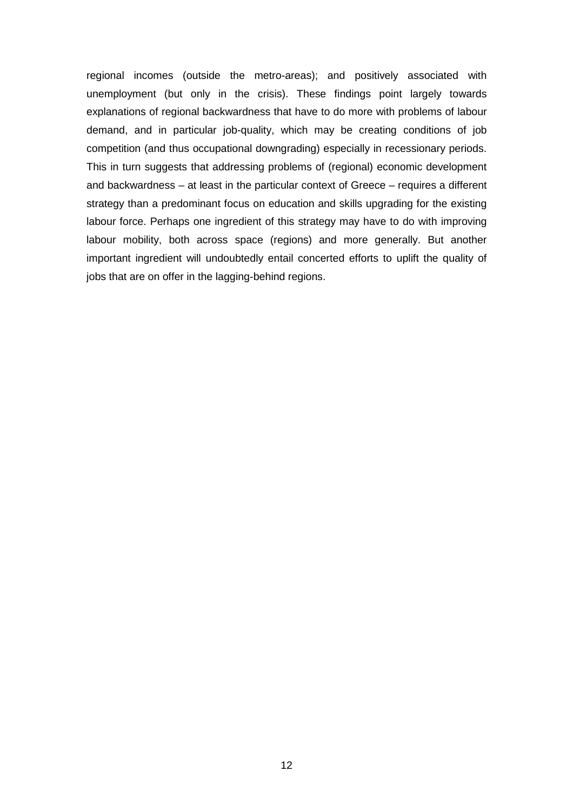regional incomes (outside the metro-areas); and positively associated with unemployment (but only in the crisis). These findings point largely towards explanations of regional backwardness that have to do more with problems of labour demand, and in particular job-quality, which may be creating conditions of job competition (and thus occupational downgrading) especially in recessionary periods. This in turn suggests that addressing problems of (regional) economic development and backwardness – at least in the particular context of Greece – requires a different strategy than a predominant focus on education and skills upgrading for the existing labour force. Perhaps one ingredient of this strategy may have to do with improving labour mobility, both across space (regions) and more generally. But another important ingredient will undoubtedly entail concerted efforts to uplift the quality of jobs that are on offer in the lagging-behind regions.